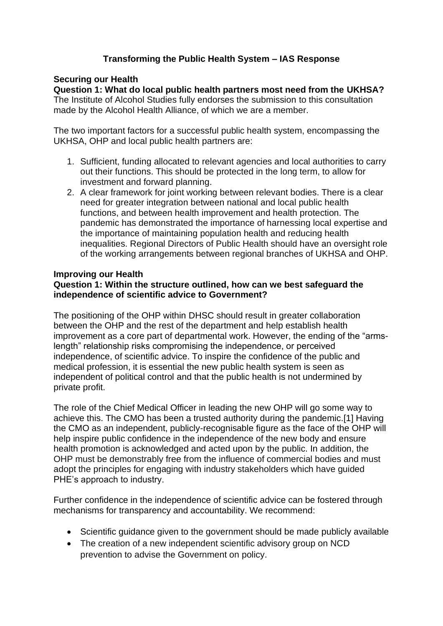# **Transforming the Public Health System – IAS Response**

# **Securing our Health**

**Question 1: What do local public health partners most need from the UKHSA?** The Institute of Alcohol Studies fully endorses the submission to this consultation

made by the Alcohol Health Alliance, of which we are a member.

The two important factors for a successful public health system, encompassing the UKHSA, OHP and local public health partners are:

- 1. Sufficient, funding allocated to relevant agencies and local authorities to carry out their functions. This should be protected in the long term, to allow for investment and forward planning.
- 2. A clear framework for joint working between relevant bodies. There is a clear need for greater integration between national and local public health functions, and between health improvement and health protection. The pandemic has demonstrated the importance of harnessing local expertise and the importance of maintaining population health and reducing health inequalities. Regional Directors of Public Health should have an oversight role of the working arrangements between regional branches of UKHSA and OHP.

# **Improving our Health**

## **Question 1: Within the structure outlined, how can we best safeguard the independence of scientific advice to Government?**

The positioning of the OHP within DHSC should result in greater collaboration between the OHP and the rest of the department and help establish health improvement as a core part of departmental work. However, the ending of the "armslength" relationship risks compromising the independence, or perceived independence, of scientific advice. To inspire the confidence of the public and medical profession, it is essential the new public health system is seen as independent of political control and that the public health is not undermined by private profit.

The role of the Chief Medical Officer in leading the new OHP will go some way to achieve this. The CMO has been a trusted authority during the pandemic.[1] Having the CMO as an independent, publicly-recognisable figure as the face of the OHP will help inspire public confidence in the independence of the new body and ensure health promotion is acknowledged and acted upon by the public. In addition, the OHP must be demonstrably free from the influence of commercial bodies and must adopt the principles for engaging with industry stakeholders which have guided PHE's approach to industry.

Further confidence in the independence of scientific advice can be fostered through mechanisms for transparency and accountability. We recommend:

- Scientific guidance given to the government should be made publicly available
- The creation of a new independent scientific advisory group on NCD prevention to advise the Government on policy.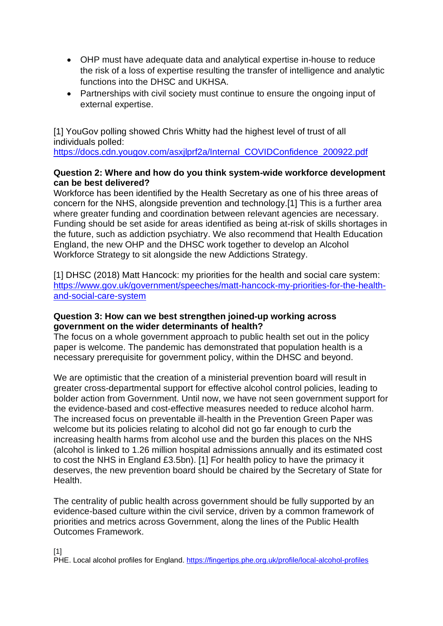- OHP must have adequate data and analytical expertise in-house to reduce the risk of a loss of expertise resulting the transfer of intelligence and analytic functions into the DHSC and UKHSA.
- Partnerships with civil society must continue to ensure the ongoing input of external expertise.

[1] YouGov polling showed Chris Whitty had the highest level of trust of all individuals polled:

https://docs.cdn.yougov.com/asxilprf2a/Internal\_COVIDConfidence\_200922.pdf

# **Question 2: Where and how do you think system-wide workforce development can be best delivered?**

Workforce has been identified by the Health Secretary as one of his three areas of concern for the NHS, alongside prevention and technology.[1] This is a further area where greater funding and coordination between relevant agencies are necessary. Funding should be set aside for areas identified as being at-risk of skills shortages in the future, such as addiction psychiatry. We also recommend that Health Education England, the new OHP and the DHSC work together to develop an Alcohol Workforce Strategy to sit alongside the new Addictions Strategy.

[1] DHSC (2018) Matt Hancock: my priorities for the health and social care system: [https://www.gov.uk/government/speeches/matt-hancock-my-priorities-for-the-health](https://www.gov.uk/government/speeches/matt-hancock-my-priorities-for-the-health-and-social-care-system)[and-social-care-system](https://www.gov.uk/government/speeches/matt-hancock-my-priorities-for-the-health-and-social-care-system)

### **Question 3: How can we best strengthen joined-up working across government on the wider determinants of health?**

The focus on a whole government approach to public health set out in the policy paper is welcome. The pandemic has demonstrated that population health is a necessary prerequisite for government policy, within the DHSC and beyond.

We are optimistic that the creation of a ministerial prevention board will result in greater cross-departmental support for effective alcohol control policies, leading to bolder action from Government. Until now, we have not seen government support for the evidence-based and cost-effective measures needed to reduce alcohol harm. The increased focus on preventable ill-health in the Prevention Green Paper was welcome but its policies relating to alcohol did not go far enough to curb the increasing health harms from alcohol use and the burden this places on the NHS (alcohol is linked to 1.26 million hospital admissions annually and its estimated cost to cost the NHS in England £3.5bn). [1] For health policy to have the primacy it deserves, the new prevention board should be chaired by the Secretary of State for Health.

The centrality of public health across government should be fully supported by an evidence-based culture within the civil service, driven by a common framework of priorities and metrics across Government, along the lines of the Public Health Outcomes Framework.

#### [1]

PHE. Local alcohol profiles for England. <https://fingertips.phe.org.uk/profile/local-alcohol-profiles>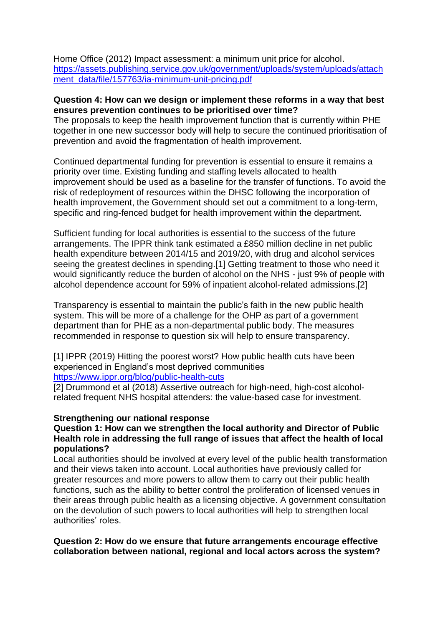Home Office (2012) Impact assessment: a minimum unit price for alcohol. [https://assets.publishing.service.gov.uk/government/uploads/system/uploads/attach](https://assets.publishing.service.gov.uk/government/uploads/system/uploads/attachment_data/file/157763/ia-minimum-unit-pricing.pdf) [ment\\_data/file/157763/ia-minimum-unit-pricing.pdf](https://assets.publishing.service.gov.uk/government/uploads/system/uploads/attachment_data/file/157763/ia-minimum-unit-pricing.pdf)

### **Question 4: How can we design or implement these reforms in a way that best ensures prevention continues to be prioritised over time?**

The proposals to keep the health improvement function that is currently within PHE together in one new successor body will help to secure the continued prioritisation of prevention and avoid the fragmentation of health improvement.

Continued departmental funding for prevention is essential to ensure it remains a priority over time. Existing funding and staffing levels allocated to health improvement should be used as a baseline for the transfer of functions. To avoid the risk of redeployment of resources within the DHSC following the incorporation of health improvement, the Government should set out a commitment to a long-term, specific and ring-fenced budget for health improvement within the department.

Sufficient funding for local authorities is essential to the success of the future arrangements. The IPPR think tank estimated a £850 million decline in net public health expenditure between 2014/15 and 2019/20, with drug and alcohol services seeing the greatest declines in spending.[1] Getting treatment to those who need it would significantly reduce the burden of alcohol on the NHS - just 9% of people with alcohol dependence account for 59% of inpatient alcohol-related admissions.[2]

Transparency is essential to maintain the public's faith in the new public health system. This will be more of a challenge for the OHP as part of a government department than for PHE as a non-departmental public body. The measures recommended in response to question six will help to ensure transparency.

[1] IPPR (2019) Hitting the poorest worst? How public health cuts have been experienced in England's most deprived communities <https://www.ippr.org/blog/public-health-cuts>

[2] Drummond et al (2018) Assertive outreach for high-need, high-cost alcoholrelated frequent NHS hospital attenders: the value-based case for investment.

### **Strengthening our national response**

### **Question 1: How can we strengthen the local authority and Director of Public Health role in addressing the full range of issues that affect the health of local populations?**

Local authorities should be involved at every level of the public health transformation and their views taken into account. Local authorities have previously called for greater resources and more powers to allow them to carry out their public health functions, such as the ability to better control the proliferation of licensed venues in their areas through public health as a licensing objective. A government consultation on the devolution of such powers to local authorities will help to strengthen local authorities' roles.

### **Question 2: How do we ensure that future arrangements encourage effective collaboration between national, regional and local actors across the system?**